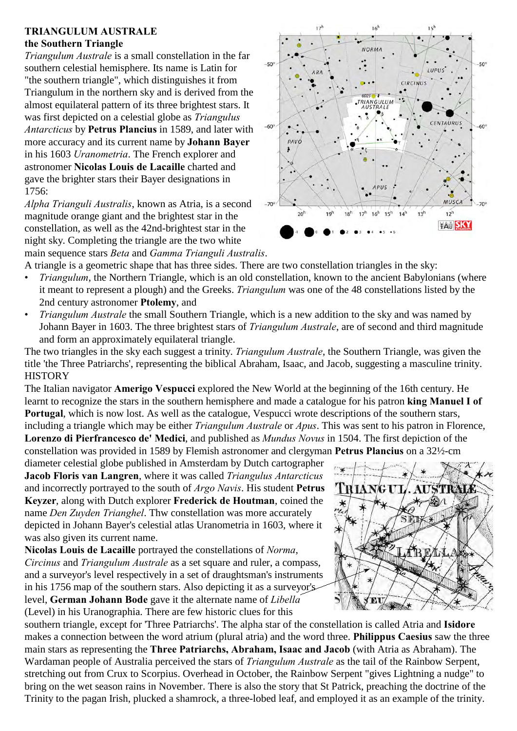## **TRIANGULUM AUSTRALE the Southern Triangle**

*Triangulum Australe* is a small constellation in the far southern celestial hemisphere. Its name is Latin for "the southern triangle", which distinguishes it from Triangulum in the northern sky and is derived from the almost equilateral pattern of its three brightest stars. It was first depicted on a celestial globe as *Triangulus Antarcticus* by **Petrus Plancius** in 1589, and later with more accuracy and its current name by **Johann Bayer** in his 1603 *Uranometria*. The French explorer and astronomer **Nicolas Louis de Lacaille** charted and gave the brighter stars their Bayer designations in 1756:

*Alpha Trianguli Australis*, known as Atria, is a second magnitude orange giant and the brightest star in the constellation, as well as the 42nd-brightest star in the night sky. Completing the triangle are the two white main sequence stars *Beta* and *Gamma Trianguli Australis*.



A triangle is a geometric shape that has three sides. There are two constellation triangles in the sky:

- *Triangulum*, the Northern Triangle, which is an old constellation, known to the ancient Babylonians (where it meant to represent a plough) and the Greeks. *Triangulum* was one of the 48 constellations listed by the 2nd century astronomer **Ptolemy**, and
- *Triangulum Australe* the small Southern Triangle, which is a new addition to the sky and was named by Johann Bayer in 1603. The three brightest stars of *Triangulum Australe*, are of second and third magnitude and form an approximately equilateral triangle.

The two triangles in the sky each suggest a trinity. *Triangulum Australe*, the Southern Triangle, was given the title 'the Three Patriarchs', representing the biblical Abraham, Isaac, and Jacob, suggesting a masculine trinity. **HISTORY** 

The Italian navigator **Amerigo Vespucci** explored the New World at the beginning of the 16th century. He learnt to recognize the stars in the southern hemisphere and made a catalogue for his patron **king Manuel I of Portugal**, which is now lost. As well as the catalogue, Vespucci wrote descriptions of the southern stars, including a triangle which may be either *Triangulum Australe* or *Apus*. This was sent to his patron in Florence, **Lorenzo di Pierfrancesco de' Medici**, and published as *Mundus Novus* in 1504. The first depiction of the constellation was provided in 1589 by Flemish astronomer and clergyman **Petrus Plancius** on a 32½-cm

diameter celestial globe published in Amsterdam by Dutch cartographer **Jacob Floris van Langren**, where it was called *Triangulus Antarcticus* and incorrectly portrayed to the south of *Argo Navis*. His student **Petrus Keyzer**, along with Dutch explorer **Frederick de Houtman**, coined the name *Den Zuyden Trianghel*. Thw constellation was more accurately depicted in Johann Bayer's celestial atlas Uranometria in 1603, where it was also given its current name.

**Nicolas Louis de Lacaille** portrayed the constellations of *Norma*, *Circinus* and *Triangulum Australe* as a set square and ruler, a compass, and a surveyor's level respectively in a set of draughtsman's instruments in his 1756 map of the southern stars. Also depicting it as a surveyor's level, **German Johann Bode** gave it the alternate name of *Libella* (Level) in his Uranographia. There are few historic clues for this

T RIANGUL **AUSTRAL**  $\star$ ≸ M

southern triangle, except for 'Three Patriarchs'. The alpha star of the constellation is called Atria and **Isidore** makes a connection between the word atrium (plural atria) and the word three. **Philippus Caesius** saw the three main stars as representing the **Three Patriarchs, Abraham, Isaac and Jacob** (with Atria as Abraham). The Wardaman people of Australia perceived the stars of *Triangulum Australe* as the tail of the Rainbow Serpent, stretching out from Crux to Scorpius. Overhead in October, the Rainbow Serpent "gives Lightning a nudge" to bring on the wet season rains in November. There is also the story that St Patrick, preaching the doctrine of the Trinity to the pagan Irish, plucked a shamrock, a three-lobed leaf, and employed it as an example of the trinity.